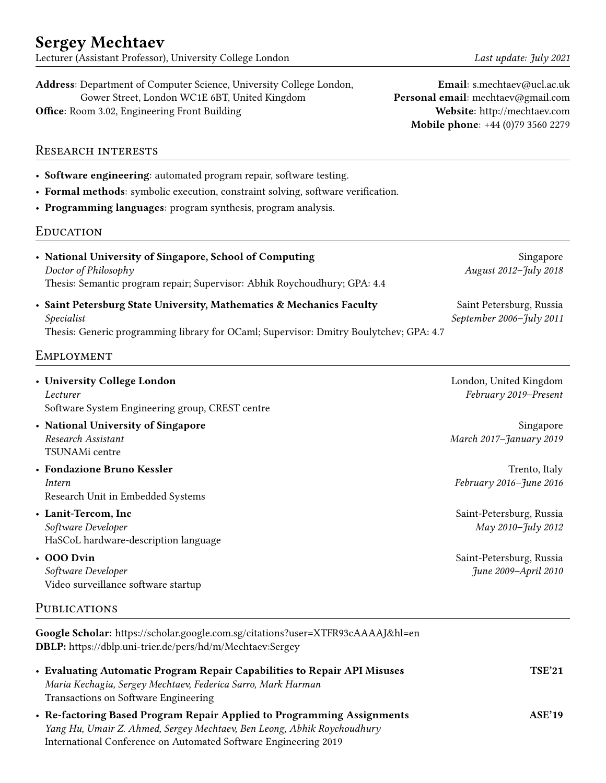Address: Department of Computer Science, University College London, Email: [s.mechtaev@ucl.ac.uk](mailto:s.mechtaev@ucl.ac.uk) Gower Street, London WC1E 6BT, United Kingdom Personal email: [mechtaev@gmail.com](mailto:mechtaev@gmail.com) Office: Room 3.02, Engineering Front Building Website: [http://mechtaev.com](http://mechtaev.com/)

Mobile phone: +44 (0)79 3560 2279

#### Research interests

- Software engineering: automated program repair, software testing.
- Formal methods: symbolic execution, constraint solving, software verification.
- Programming languages: program synthesis, program analysis.

#### EDUCATION

| • National University of Singapore, School of Computing<br>Doctor of Philosophy<br>Thesis: Semantic program repair; Supervisor: Abhik Roychoudhury; GPA: 4.4 | Singapore<br>August 2012-July 2018 |
|--------------------------------------------------------------------------------------------------------------------------------------------------------------|------------------------------------|
| • Saint Petersburg State University, Mathematics & Mechanics Faculty                                                                                         | Saint Petersburg, Russia           |

Specialist September 2006–July 2011 Thesis: Generic programming library for OCaml; Supervisor: Dmitry Boulytchev; GPA: 4.7

# **EMPLOYMENT**

| • University College London<br>Lecturer<br>Software System Engineering group, CREST centre                                                                                              | London, United Kingdom<br>February 2019-Present  |
|-----------------------------------------------------------------------------------------------------------------------------------------------------------------------------------------|--------------------------------------------------|
| • National University of Singapore<br>Research Assistant<br>TSUNAMi centre                                                                                                              | Singapore<br>March 2017-January 2019             |
| • Fondazione Bruno Kessler<br>Intern<br>Research Unit in Embedded Systems                                                                                                               | Trento, Italy<br>February 2016-June 2016         |
| • Lanit-Tercom, Inc<br>Software Developer<br>HaSCoL hardware-description language                                                                                                       | Saint-Petersburg, Russia<br>May 2010-July 2012   |
| $\cdot$ 000 Dvin<br>Software Developer<br>Video surveillance software startup                                                                                                           | Saint-Petersburg, Russia<br>June 2009-April 2010 |
| <b>PUBLICATIONS</b>                                                                                                                                                                     |                                                  |
| Google Scholar: https://scholar.google.com.sg/citations?user=XTFR93cAAAAJ&hl=en<br>DBLP: https://dblp.uni-trier.de/pers/hd/m/Mechtaev:Sergey                                            |                                                  |
| • Evaluating Automatic Program Repair Capabilities to Repair API Misuses<br>Maria Kechagia, Sergey Mechtaev, Federica Sarro, Mark Harman<br><b>Transactions on Software Engineering</b> | <b>TSE'21</b>                                    |

• Re-factoring Based Program Repair Applied to Programming Assignments ASE'19 Yang Hu, Umair Z. Ahmed, Sergey Mechtaev, Ben Leong, Abhik Roychoudhury International Conference on Automated Software Engineering 2019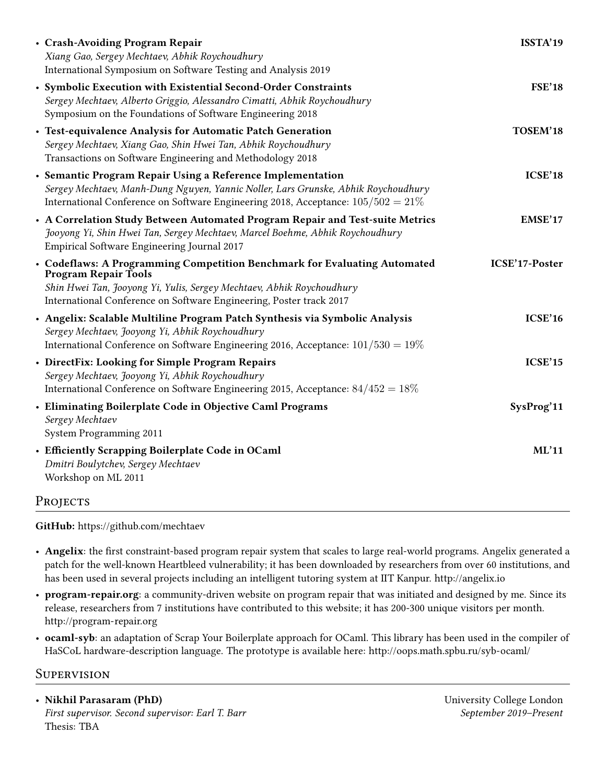| ISSTA'19       |
|----------------|
| <b>FSE'18</b>  |
| TOSEM'18       |
| <b>ICSE'18</b> |
| <b>EMSE'17</b> |
| ICSE'17-Poster |
| <b>ICSE'16</b> |
| ICSE'15        |
| SysProg'11     |
| ML'11          |
|                |

# Projects

GitHub: <https://github.com/mechtaev>

- Angelix: the first constraint-based program repair system that scales to large real-world programs. Angelix generated a patch for the well-known Heartbleed vulnerability; it has been downloaded by researchers from over 60 institutions, and has been used in several projects including an intelligent tutoring system at IIT Kanpur.<http://angelix.io>
- program-repair.org: a community-driven website on program repair that was initiated and designed by me. Since its release, researchers from 7 institutions have contributed to this website; it has 200-300 unique visitors per month. <http://program-repair.org>
- ocaml-syb: an adaptation of Scrap Your Boilerplate approach for OCaml. This library has been used in the compiler of HaSCoL hardware-description language. The prototype is available here:<http://oops.math.spbu.ru/syb-ocaml/>

## **SUPERVISION**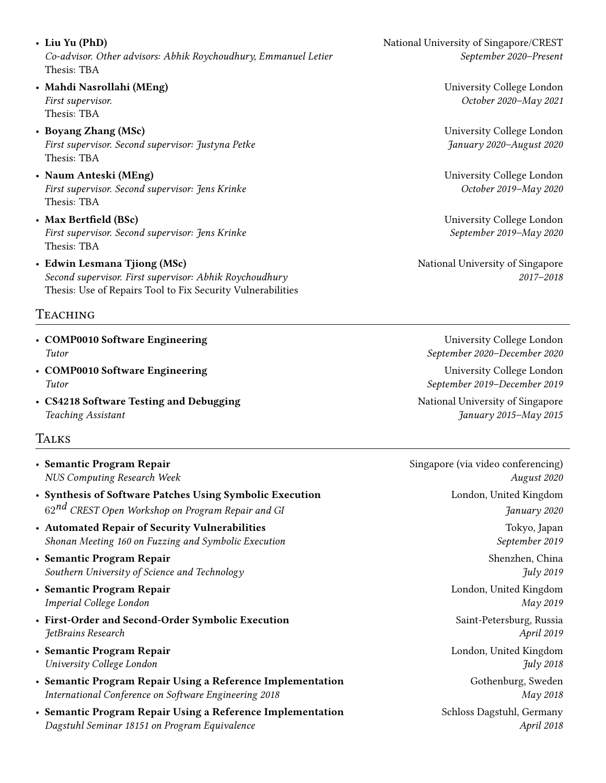- Liu Yu (PhD) National University of Singapore/CREST Co-advisor. Other advisors: Abhik Roychoudhury, Emmanuel Letier September 2020–Present Thesis: TBA
- Mahdi Nasrollahi (MEng) University College London First supervisor. October 2020–May 2021 Thesis: TBA

• Boyang Zhang (MSc) University College London First supervisor. Second supervisor: Justyna Petke January 2020–August 2020 Thesis: TBA

- Naum Anteski (MEng) University College London First supervisor. Second supervisor: Jens Krinke October 2019–May 2020 Thesis: TBA
- Max Bertfield (BSc) and the state of the state of the University College London University College London First supervisor. Second supervisor: Jens Krinke September 2019–May 2020 Thesis: TBA
- Edwin Lesmana Tjiong (MSc) National University of Singapore Second supervisor. First supervisor: Abhik Roychoudhury 2017–2018 Thesis: Use of Repairs Tool to Fix Security Vulnerabilities

# Teaching

- COMP0010 Software Engineering Theorem 2012 1999 University College London Tutor September 2020–December 2020
- COMP0010 Software Engineering Theorem 2012 1999 University College London Tutor September 2019–December 2019
- CS4218 Software Testing and Debugging National University of Singapore Teaching Assistant January 2015–May 2015

## TALKS

- Semantic Program Repair **Singapore (via video conferencing)** Singapore (via video conferencing)
- Synthesis of Software Patches Using Symbolic Execution London, United Kingdom  $62<sup>nd</sup>$  CREST Open Workshop on Program Repair and GI  $\overline{a}$   $\overline{b}$   $\overline{a}$   $\overline{c}$   $\overline{d}$   $\overline{d}$   $\overline{d}$   $\overline{d}$   $\overline{d}$   $\overline{d}$   $\overline{d}$   $\overline{d}$   $\overline{d}$   $\overline{d}$   $\overline{d}$   $\overline{d}$   $\overline{d}$   $\overline{d}$   $\$
- Automated Repair of Security Vulnerabilities Tokyo, Japan Shonan Meeting 160 on Fuzzing and Symbolic Execution September 2019
- Semantic Program Repair Shenzhen, China Shenzhen, China Shenzhen, China Shenzhen, China Shenzhen, China Shenzhen, China Shenzhen, China Shenzhen, China Shenzhen, China Shenzhen, China Shenzhen, China Shenzhen, China Shen Southern University of Science and Technology *July 2019* 3019
- Semantic Program Repair **London, United Kingdom** London, United Kingdom Imperial College London May 2019
- First-Order and Second-Order Symbolic Execution Saint-Petersburg, Russia JetBrains Research April 2019
- Semantic Program Repair **London, United Kingdom** London, United Kingdom University College London The Superior College London July 2018
- Semantic Program Repair Using a Reference Implementation Gothenburg, Sweden International Conference on Software Engineering 2018 May 2018
- Semantic Program Repair Using a Reference Implementation Schloss Dagstuhl, Germany Dagstuhl Seminar 18151 on Program Equivalence April 2018

NUS Computing Research Week August 2020